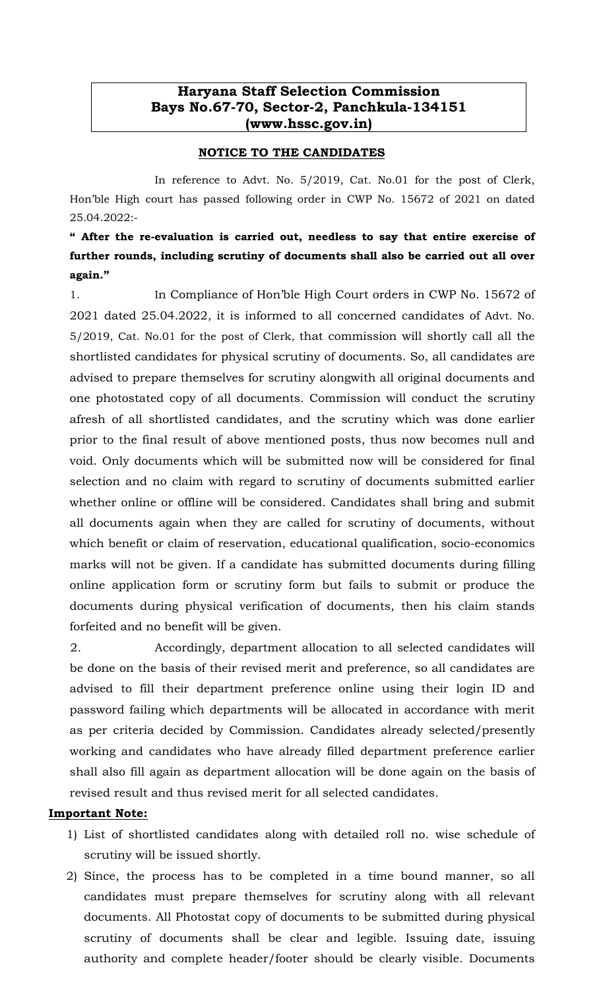## Haryana Staff Selection Commission Bays No.67-70, Sector-2, Panchkula-134151 (www.hssc.gov.in)

## NOTICE TO THE CANDIDATES

 In reference to Advt. No. 5/2019, Cat. No.01 for the post of Clerk, Hon'ble High court has passed following order in CWP No. 15672 of 2021 on dated 25.04.2022:-

" After the re-evaluation is carried out, needless to say that entire exercise of further rounds, including scrutiny of documents shall also be carried out all over again."

1. In Compliance of Hon'ble High Court orders in CWP No. 15672 of 2021 dated 25.04.2022, it is informed to all concerned candidates of Advt. No. 5/2019, Cat. No.01 for the post of Clerk, that commission will shortly call all the shortlisted candidates for physical scrutiny of documents. So, all candidates are advised to prepare themselves for scrutiny alongwith all original documents and one photostated copy of all documents. Commission will conduct the scrutiny afresh of all shortlisted candidates, and the scrutiny which was done earlier prior to the final result of above mentioned posts, thus now becomes null and void. Only documents which will be submitted now will be considered for final selection and no claim with regard to scrutiny of documents submitted earlier whether online or offline will be considered. Candidates shall bring and submit all documents again when they are called for scrutiny of documents, without which benefit or claim of reservation, educational qualification, socio-economics marks will not be given. If a candidate has submitted documents during filling online application form or scrutiny form but fails to submit or produce the documents during physical verification of documents, then his claim stands forfeited and no benefit will be given.

 2. Accordingly, department allocation to all selected candidates will be done on the basis of their revised merit and preference, so all candidates are advised to fill their department preference online using their login ID and password failing which departments will be allocated in accordance with merit as per criteria decided by Commission. Candidates already selected/presently working and candidates who have already filled department preference earlier shall also fill again as department allocation will be done again on the basis of revised result and thus revised merit for all selected candidates.

## Important Note:

- 1) List of shortlisted candidates along with detailed roll no. wise schedule of scrutiny will be issued shortly.
- 2) Since, the process has to be completed in a time bound manner, so all candidates must prepare themselves for scrutiny along with all relevant documents. All Photostat copy of documents to be submitted during physical scrutiny of documents shall be clear and legible. Issuing date, issuing authority and complete header/footer should be clearly visible. Documents